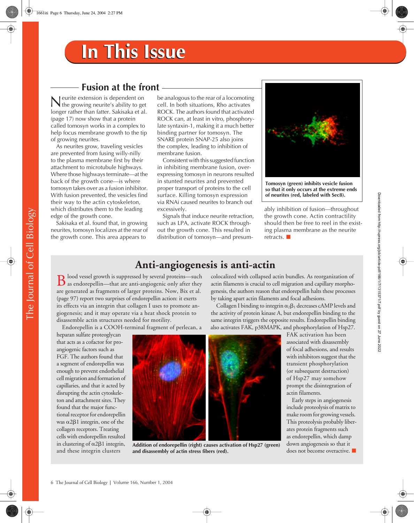## **Fusion at the front**

eurite extension is dependent on Neurite extension is dependent on<br>the growing neurite's ability to get<br> $\frac{1}{2}$ longer rather than fatter. Sakisaka et al. (page 17) now show that a protein called tomosyn works in a complex to help focus membrane growth to the tip of growing neurites.

As neurites grow, traveling vesicles are prevented from fusing willy-nilly to the plasma membrane first by their attachment to microtubule highways. Where those highways terminate—at the back of the growth cone—is where tomosyn takes over as a fusion inhibitor. With fusion prevented, the vesicles find their way to the actin cytoskeleton, which distributes them to the leading edge of the growth cone.

Sakisaka et al. found that, in growing neurites, tomosyn localizes at the rear of the growth cone. This area appears to

be analogous to the rear of a locomoting cell. In both situations, Rho activates ROCK. The authors found that activated ROCK can, at least in vitro, phosphorylate syntaxin-1, making it a much better binding partner for tomosyn. The SNARE protein SNAP-25 also joins the complex, leading to inhibition of membrane fusion.

Consistent with this suggested function in inhibiting membrane fusion, overexpressing tomosyn in neurons resulted in stunted neurites and prevented proper transport of proteins to the cell surface. Killing tomosyn expression via RNAi caused neurites to branch out excessively.

Signals that induce neurite retraction, such as LPA, activate ROCK throughout the growth cone. This resulted in distribution of tomosyn—and presum-



**Tomosyn (green) inhibits vesicle fusion so that it only occurs at the extreme ends of neurites (red, labeled with Sec8).**

ably inhibition of fusion—throughout the growth cone. Actin contractility should then be free to reel in the existing plasma membrane as the neurite retracts.

### **Anti-angiogenesis is anti-actin**

**D** lood vessel growth is suppressed by several proteins—such  $\bf{B}$  lood vessel growth is suppressed by several proteins—such as endorepellin—that are anti-angiogenic only after they  $\bf{B}$ are generated as fragments of larger proteins. Now, Bix et al. (page 97) report two surprises of endorepellin action: it exerts its effects via an integrin that collagen I uses to promote angiogenesis; and it may operate via a heat shock protein to disassemble actin structures needed for motility.

Endorepellin is a COOH-terminal fragment of perlecan, a

heparan sulfate proteoglycan that acts as a cofactor for proangiogenic factors such as FGF. The authors found that a segment of endorepellin was enough to prevent endothelial cell migration and formation of capillaries, and that it acted by disrupting the actin cytoskeleton and attachment sites. They found that the major functional receptor for endorepellin was  $\alpha$ 2 $\beta$ 1 integrin, one of the collagen receptors. Treating cells with endorepellin resulted in clustering of  $\alpha$ 2 $\beta$ 1 integrin, and these integrin clusters



**Addition of endorepellin (right) causes activation of Hsp27 (green) and disassembly of actin stress fibers (red).**

colocalized with collapsed actin bundles. As reorganization of actin filaments is crucial to cell migration and capillary morphogenesis, the authors reason that endorepellin halts these processes by taking apart actin filaments and focal adhesions.

Collagen I binding to integrin  $\alpha_2\beta_1$  decreases cAMP levels and the activity of protein kinase A, but endorepellin binding to the same integrin triggers the opposite results. Endorepellin binding also activates FAK, p38MAPK, and phosphorylation of Hsp27.

> FAK activation has been associated with disassembly of focal adhesions, and results with inhibitors suggest that the transient phosphorylation (or subsequent destruction) of Hsp27 may somehow prompt the disintegration of actin filaments.

> Early steps in angiogenesis include proteolysis of matrix to make room for growing vessels. This proteolysis probably liberates protein fragments such as endorepellin, which damp down angiogenesis so that it does not become overactive.